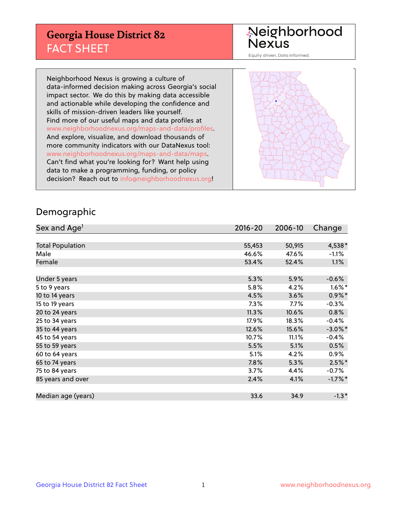## **Georgia House District 82** FACT SHEET

# Neighborhood<br>Nexus

Equity driven. Data informed.

Neighborhood Nexus is growing a culture of data-informed decision making across Georgia's social impact sector. We do this by making data accessible and actionable while developing the confidence and skills of mission-driven leaders like yourself. Find more of our useful maps and data profiles at www.neighborhoodnexus.org/maps-and-data/profiles. And explore, visualize, and download thousands of more community indicators with our DataNexus tool: www.neighborhoodnexus.org/maps-and-data/maps. Can't find what you're looking for? Want help using data to make a programming, funding, or policy decision? Reach out to [info@neighborhoodnexus.org!](mailto:info@neighborhoodnexus.org)



### Demographic

| Sex and Age <sup>1</sup> | $2016 - 20$ | 2006-10 | Change     |
|--------------------------|-------------|---------|------------|
|                          |             |         |            |
| <b>Total Population</b>  | 55,453      | 50,915  | 4,538*     |
| Male                     | 46.6%       | 47.6%   | $-1.1\%$   |
| Female                   | 53.4%       | 52.4%   | $1.1\%$    |
|                          |             |         |            |
| Under 5 years            | 5.3%        | 5.9%    | $-0.6%$    |
| 5 to 9 years             | 5.8%        | 4.2%    | $1.6\%$ *  |
| 10 to 14 years           | 4.5%        | 3.6%    | $0.9\%$ *  |
| 15 to 19 years           | 7.3%        | $7.7\%$ | $-0.3%$    |
| 20 to 24 years           | 11.3%       | 10.6%   | 0.8%       |
| 25 to 34 years           | 17.9%       | 18.3%   | $-0.4%$    |
| 35 to 44 years           | 12.6%       | 15.6%   | $-3.0\%$ * |
| 45 to 54 years           | 10.7%       | 11.1%   | $-0.4%$    |
| 55 to 59 years           | 5.5%        | 5.1%    | 0.5%       |
| 60 to 64 years           | 5.1%        | 4.2%    | $0.9\%$    |
| 65 to 74 years           | 7.8%        | 5.3%    | $2.5%$ *   |
| 75 to 84 years           | 3.7%        | 4.4%    | $-0.7%$    |
| 85 years and over        | 2.4%        | 4.1%    | $-1.7%$ *  |
|                          |             |         |            |
| Median age (years)       | 33.6        | 34.9    | $-1.3*$    |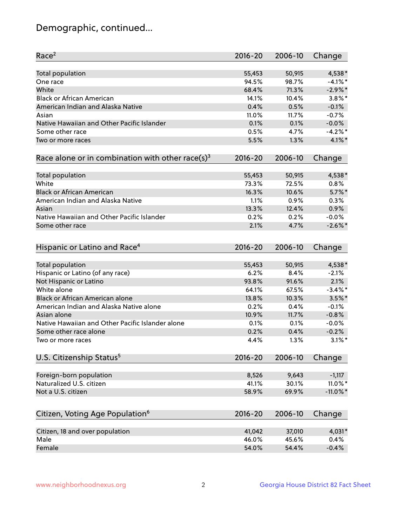## Demographic, continued...

| Race <sup>2</sup>                                            | $2016 - 20$ | 2006-10 | Change      |
|--------------------------------------------------------------|-------------|---------|-------------|
| <b>Total population</b>                                      | 55,453      | 50,915  | 4,538 *     |
| One race                                                     | 94.5%       | 98.7%   | $-4.1%$ *   |
| White                                                        | 68.4%       | 71.3%   | $-2.9\%$ *  |
| <b>Black or African American</b>                             | 14.1%       | 10.4%   | $3.8\%$ *   |
| American Indian and Alaska Native                            | 0.4%        | 0.5%    | $-0.1%$     |
| Asian                                                        | 11.0%       | 11.7%   | $-0.7%$     |
| Native Hawaiian and Other Pacific Islander                   | 0.1%        | 0.1%    | $-0.0%$     |
| Some other race                                              | 0.5%        | 4.7%    | $-4.2%$     |
| Two or more races                                            | 5.5%        | 1.3%    | $4.1\%$ *   |
| Race alone or in combination with other race(s) <sup>3</sup> | $2016 - 20$ | 2006-10 | Change      |
| Total population                                             | 55,453      | 50,915  | 4,538*      |
| White                                                        | 73.3%       | 72.5%   | 0.8%        |
| <b>Black or African American</b>                             | 16.3%       | 10.6%   | $5.7\%$ *   |
| American Indian and Alaska Native                            | 1.1%        | 0.9%    | 0.3%        |
| Asian                                                        | 13.3%       | 12.4%   | 0.9%        |
| Native Hawaiian and Other Pacific Islander                   | 0.2%        | 0.2%    | $-0.0%$     |
| Some other race                                              | 2.1%        | 4.7%    | $-2.6\%$ *  |
|                                                              |             |         |             |
| Hispanic or Latino and Race <sup>4</sup>                     | $2016 - 20$ | 2006-10 | Change      |
| Total population                                             | 55,453      | 50,915  | 4,538*      |
| Hispanic or Latino (of any race)                             | 6.2%        | 8.4%    | $-2.1%$     |
| Not Hispanic or Latino                                       | 93.8%       | 91.6%   | 2.1%        |
| White alone                                                  | 64.1%       | 67.5%   | $-3.4\%$ *  |
| Black or African American alone                              | 13.8%       | 10.3%   | $3.5\%$ *   |
| American Indian and Alaska Native alone                      | 0.2%        | 0.4%    | $-0.1%$     |
| Asian alone                                                  | 10.9%       | 11.7%   | $-0.8%$     |
| Native Hawaiian and Other Pacific Islander alone             | 0.1%        | 0.1%    | $-0.0%$     |
| Some other race alone                                        | 0.2%        | 0.4%    | $-0.2%$     |
| Two or more races                                            | 4.4%        | 1.3%    | $3.1\%$ *   |
| U.S. Citizenship Status <sup>5</sup>                         | $2016 - 20$ | 2006-10 | Change      |
|                                                              |             |         |             |
| Foreign-born population                                      | 8,526       | 9,643   | $-1,117$    |
| Naturalized U.S. citizen                                     | 41.1%       | 30.1%   | 11.0%*      |
| Not a U.S. citizen                                           | 58.9%       | 69.9%   | $-11.0\%$ * |
| Citizen, Voting Age Population <sup>6</sup>                  | 2016-20     | 2006-10 | Change      |
| Citizen, 18 and over population                              | 41,042      | 37,010  | 4,031*      |
| Male                                                         | 46.0%       | 45.6%   | 0.4%        |
| Female                                                       | 54.0%       | 54.4%   | $-0.4%$     |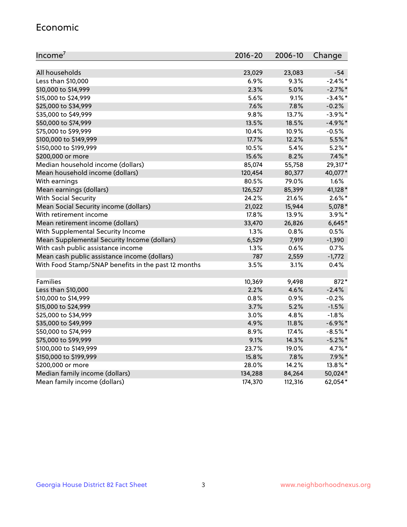#### Economic

| Income <sup>7</sup>                                 | 2016-20 | 2006-10 | Change     |
|-----------------------------------------------------|---------|---------|------------|
|                                                     |         |         |            |
| All households                                      | 23,029  | 23,083  | $-54$      |
| Less than \$10,000                                  | 6.9%    | 9.3%    | $-2.4\%$ * |
| \$10,000 to \$14,999                                | 2.3%    | 5.0%    | $-2.7%$    |
| \$15,000 to \$24,999                                | 5.6%    | 9.1%    | $-3.4\%$ * |
| \$25,000 to \$34,999                                | 7.6%    | 7.8%    | $-0.2%$    |
| \$35,000 to \$49,999                                | 9.8%    | 13.7%   | $-3.9%$ *  |
| \$50,000 to \$74,999                                | 13.5%   | 18.5%   | $-4.9%$ *  |
| \$75,000 to \$99,999                                | 10.4%   | 10.9%   | $-0.5%$    |
| \$100,000 to \$149,999                              | 17.7%   | 12.2%   | 5.5%*      |
| \$150,000 to \$199,999                              | 10.5%   | 5.4%    | $5.2\%$ *  |
| \$200,000 or more                                   | 15.6%   | 8.2%    | $7.4\%$ *  |
| Median household income (dollars)                   | 85,074  | 55,758  | 29,317*    |
| Mean household income (dollars)                     | 120,454 | 80,377  | 40,077*    |
| With earnings                                       | 80.5%   | 79.0%   | 1.6%       |
| Mean earnings (dollars)                             | 126,527 | 85,399  | 41,128*    |
| <b>With Social Security</b>                         | 24.2%   | 21.6%   | $2.6\%$ *  |
| Mean Social Security income (dollars)               | 21,022  | 15,944  | 5,078*     |
| With retirement income                              | 17.8%   | 13.9%   | $3.9\%$ *  |
| Mean retirement income (dollars)                    | 33,470  | 26,826  | $6,645*$   |
| With Supplemental Security Income                   | 1.3%    | 0.8%    | 0.5%       |
| Mean Supplemental Security Income (dollars)         | 6,529   | 7,919   | $-1,390$   |
| With cash public assistance income                  | 1.3%    | 0.6%    | 0.7%       |
| Mean cash public assistance income (dollars)        | 787     | 2,559   | $-1,772$   |
| With Food Stamp/SNAP benefits in the past 12 months | 3.5%    | 3.1%    | 0.4%       |
|                                                     |         |         |            |
| Families                                            | 10,369  | 9,498   | 872*       |
| Less than \$10,000                                  | 2.2%    | 4.6%    | $-2.4%$    |
| \$10,000 to \$14,999                                | 0.8%    | 0.9%    | $-0.2%$    |
| \$15,000 to \$24,999                                | 3.7%    | 5.2%    | $-1.5%$    |
| \$25,000 to \$34,999                                | 3.0%    | 4.8%    | $-1.8%$    |
| \$35,000 to \$49,999                                | 4.9%    | 11.8%   | $-6.9\%$ * |
| \$50,000 to \$74,999                                | 8.9%    | 17.4%   | $-8.5%$ *  |
| \$75,000 to \$99,999                                | 9.1%    | 14.3%   | $-5.2\%$ * |
| \$100,000 to \$149,999                              | 23.7%   | 19.0%   | 4.7%*      |
| \$150,000 to \$199,999                              | 15.8%   | 7.8%    | $7.9\%$ *  |
| \$200,000 or more                                   | 28.0%   | 14.2%   | 13.8%*     |
| Median family income (dollars)                      | 134,288 | 84,264  | 50,024*    |
| Mean family income (dollars)                        | 174,370 | 112,316 | 62,054*    |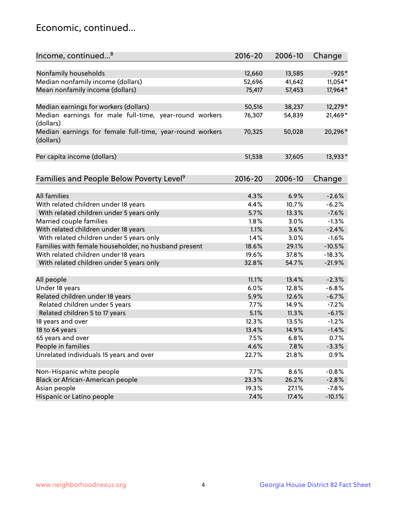## Economic, continued...

| Income, continued <sup>8</sup>                                        | $2016 - 20$ | 2006-10 | Change   |
|-----------------------------------------------------------------------|-------------|---------|----------|
|                                                                       |             |         |          |
| Nonfamily households                                                  | 12,660      | 13,585  | $-925*$  |
| Median nonfamily income (dollars)                                     | 52,696      | 41,642  | 11,054*  |
| Mean nonfamily income (dollars)                                       | 75,417      | 57,453  | 17,964*  |
| Median earnings for workers (dollars)                                 | 50,516      | 38,237  | 12,279*  |
| Median earnings for male full-time, year-round workers                | 76,307      | 54,839  | 21,469*  |
| (dollars)                                                             |             |         |          |
| Median earnings for female full-time, year-round workers<br>(dollars) | 70,325      | 50,028  | 20,296*  |
| Per capita income (dollars)                                           | 51,538      | 37,605  | 13,933*  |
|                                                                       |             |         |          |
| Families and People Below Poverty Level <sup>9</sup>                  | 2016-20     | 2006-10 | Change   |
|                                                                       |             |         |          |
| <b>All families</b>                                                   | 4.3%        | 6.9%    | $-2.6%$  |
| With related children under 18 years                                  | 4.4%        | 10.7%   | $-6.2%$  |
| With related children under 5 years only                              | 5.7%        | 13.3%   | $-7.6%$  |
| Married couple families                                               | 1.8%        | 3.0%    | $-1.3%$  |
| With related children under 18 years                                  | 1.1%        | 3.6%    | $-2.4%$  |
| With related children under 5 years only                              | 1.4%        | 3.0%    | $-1.6%$  |
| Families with female householder, no husband present                  | 18.6%       | 29.1%   | $-10.5%$ |
| With related children under 18 years                                  | 19.6%       | 37.8%   | $-18.3%$ |
| With related children under 5 years only                              | 32.8%       | 54.7%   | $-21.9%$ |
|                                                                       |             |         |          |
| All people                                                            | 11.1%       | 13.4%   | $-2.3%$  |
| Under 18 years                                                        | 6.0%        | 12.8%   | $-6.8%$  |
| Related children under 18 years                                       | 5.9%        | 12.6%   | $-6.7%$  |
| Related children under 5 years                                        | 7.7%        | 14.9%   | $-7.2%$  |
| Related children 5 to 17 years                                        | 5.1%        | 11.3%   | $-6.1%$  |
| 18 years and over                                                     | 12.3%       | 13.5%   | $-1.2%$  |
| 18 to 64 years                                                        | 13.4%       | 14.9%   | $-1.4%$  |
| 65 years and over                                                     | 7.5%        | 6.8%    | 0.7%     |
| People in families                                                    | 4.6%        | 7.8%    | $-3.3%$  |
| Unrelated individuals 15 years and over                               | 22.7%       | 21.8%   | 0.9%     |
|                                                                       |             |         |          |
| Non-Hispanic white people                                             | 7.7%        | 8.6%    | $-0.8%$  |
| Black or African-American people                                      | 23.3%       | 26.2%   | $-2.8%$  |
| Asian people                                                          | 19.3%       | 27.1%   | $-7.8%$  |
| Hispanic or Latino people                                             | 7.4%        | 17.4%   | $-10.1%$ |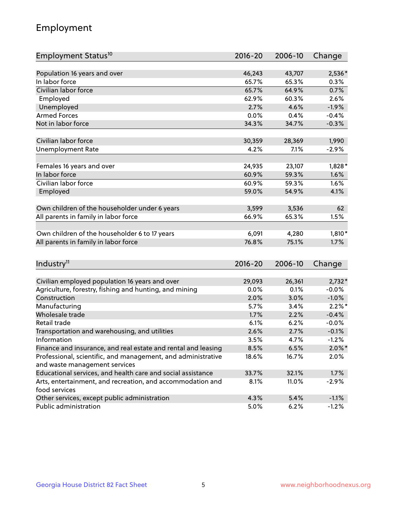## Employment

| Employment Status <sup>10</sup>                                                               | $2016 - 20$ | 2006-10 | Change    |
|-----------------------------------------------------------------------------------------------|-------------|---------|-----------|
|                                                                                               |             |         |           |
| Population 16 years and over                                                                  | 46,243      | 43,707  | 2,536*    |
| In labor force                                                                                | 65.7%       | 65.3%   | 0.3%      |
| Civilian labor force                                                                          | 65.7%       | 64.9%   | 0.7%      |
| Employed                                                                                      | 62.9%       | 60.3%   | 2.6%      |
| Unemployed                                                                                    | 2.7%        | 4.6%    | $-1.9%$   |
| <b>Armed Forces</b>                                                                           | 0.0%        | 0.4%    | $-0.4%$   |
| Not in labor force                                                                            | 34.3%       | 34.7%   | $-0.3%$   |
| Civilian labor force                                                                          |             |         |           |
|                                                                                               | 30,359      | 28,369  | 1,990     |
| <b>Unemployment Rate</b>                                                                      | 4.2%        | 7.1%    | $-2.9%$   |
| Females 16 years and over                                                                     | 24,935      | 23,107  | $1,828*$  |
| In labor force                                                                                | 60.9%       | 59.3%   | 1.6%      |
| Civilian labor force                                                                          | 60.9%       | 59.3%   | 1.6%      |
| Employed                                                                                      | 59.0%       | 54.9%   | 4.1%      |
|                                                                                               |             |         |           |
| Own children of the householder under 6 years                                                 | 3,599       | 3,536   | 62        |
| All parents in family in labor force                                                          | 66.9%       | 65.3%   | 1.5%      |
| Own children of the householder 6 to 17 years                                                 | 6,091       | 4,280   | 1,810*    |
| All parents in family in labor force                                                          | 76.8%       | 75.1%   | 1.7%      |
|                                                                                               |             |         |           |
| Industry <sup>11</sup>                                                                        | $2016 - 20$ | 2006-10 | Change    |
|                                                                                               |             |         |           |
| Civilian employed population 16 years and over                                                | 29,093      | 26,361  | $2,732*$  |
| Agriculture, forestry, fishing and hunting, and mining                                        | 0.0%        | 0.1%    | $-0.0%$   |
| Construction                                                                                  | 2.0%        | 3.0%    | $-1.0%$   |
| Manufacturing                                                                                 | 5.7%        | 3.4%    | $2.2\%$ * |
| Wholesale trade                                                                               | 1.7%        | 2.2%    | $-0.4%$   |
| Retail trade                                                                                  | 6.1%        | 6.2%    | $-0.0%$   |
| Transportation and warehousing, and utilities                                                 | 2.6%        | 2.7%    | $-0.1%$   |
| Information                                                                                   | 3.5%        | 4.7%    | $-1.2%$   |
| Finance and insurance, and real estate and rental and leasing                                 | 8.5%        | 6.5%    | $2.0\%$ * |
| Professional, scientific, and management, and administrative<br>and waste management services | 18.6%       | 16.7%   | 2.0%      |
| Educational services, and health care and social assistance                                   | 33.7%       | 32.1%   | 1.7%      |
|                                                                                               | 8.1%        | 11.0%   |           |
| Arts, entertainment, and recreation, and accommodation and<br>food services                   |             |         | $-2.9%$   |
| Other services, except public administration                                                  | 4.3%        | 5.4%    | $-1.1%$   |
| Public administration                                                                         | 5.0%        | 6.2%    | $-1.2%$   |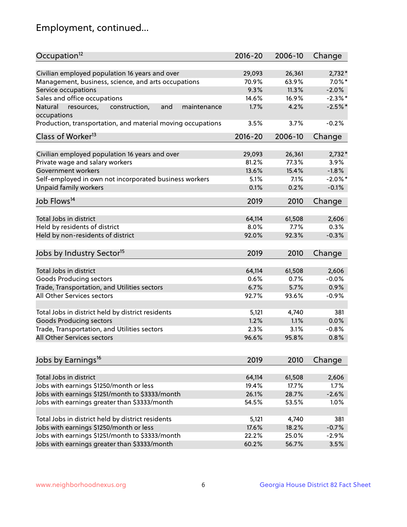## Employment, continued...

| Occupation <sup>12</sup>                                    | $2016 - 20$ | 2006-10 | Change     |
|-------------------------------------------------------------|-------------|---------|------------|
| Civilian employed population 16 years and over              | 29,093      | 26,361  | $2,732*$   |
| Management, business, science, and arts occupations         | 70.9%       | 63.9%   | $7.0\%$ *  |
| Service occupations                                         | 9.3%        | 11.3%   | $-2.0%$    |
| Sales and office occupations                                | 14.6%       | 16.9%   | $-2.3\%$ * |
| and<br>Natural<br>maintenance                               | 1.7%        | 4.2%    | $-2.5%$    |
| resources,<br>construction,<br>occupations                  |             |         |            |
| Production, transportation, and material moving occupations | 3.5%        | 3.7%    | $-0.2%$    |
| Class of Worker <sup>13</sup>                               | $2016 - 20$ | 2006-10 | Change     |
|                                                             |             |         |            |
| Civilian employed population 16 years and over              | 29,093      | 26,361  | $2,732*$   |
| Private wage and salary workers                             | 81.2%       | 77.3%   | 3.9%       |
| Government workers                                          | 13.6%       | 15.4%   | $-1.8%$    |
| Self-employed in own not incorporated business workers      | 5.1%        | 7.1%    | $-2.0\%$ * |
| Unpaid family workers                                       | 0.1%        | 0.2%    | $-0.1%$    |
| Job Flows <sup>14</sup>                                     | 2019        | 2010    | Change     |
|                                                             |             |         |            |
| Total Jobs in district                                      | 64,114      | 61,508  | 2,606      |
| Held by residents of district                               | 8.0%        | 7.7%    | 0.3%       |
| Held by non-residents of district                           | 92.0%       | 92.3%   | $-0.3%$    |
| Jobs by Industry Sector <sup>15</sup>                       | 2019        | 2010    | Change     |
| Total Jobs in district                                      | 64,114      | 61,508  | 2,606      |
|                                                             |             | 0.7%    |            |
| Goods Producing sectors                                     | 0.6%        |         | $-0.0%$    |
| Trade, Transportation, and Utilities sectors                | 6.7%        | 5.7%    | 0.9%       |
| All Other Services sectors                                  | 92.7%       | 93.6%   | $-0.9%$    |
| Total Jobs in district held by district residents           | 5,121       | 4,740   | 381        |
| <b>Goods Producing sectors</b>                              | 1.2%        | 1.1%    | 0.0%       |
| Trade, Transportation, and Utilities sectors                | 2.3%        | 3.1%    | $-0.8%$    |
| All Other Services sectors                                  | 96.6%       | 95.8%   | 0.8%       |
|                                                             |             |         |            |
| Jobs by Earnings <sup>16</sup>                              | 2019        | 2010    | Change     |
|                                                             |             |         |            |
| Total Jobs in district                                      | 64,114      | 61,508  | 2,606      |
| Jobs with earnings \$1250/month or less                     | 19.4%       | 17.7%   | 1.7%       |
| Jobs with earnings \$1251/month to \$3333/month             | 26.1%       | 28.7%   | $-2.6%$    |
| Jobs with earnings greater than \$3333/month                | 54.5%       | 53.5%   | 1.0%       |
| Total Jobs in district held by district residents           | 5,121       | 4,740   | 381        |
| Jobs with earnings \$1250/month or less                     | 17.6%       | 18.2%   | $-0.7%$    |
| Jobs with earnings \$1251/month to \$3333/month             | 22.2%       | 25.0%   | $-2.9%$    |
| Jobs with earnings greater than \$3333/month                | 60.2%       | 56.7%   | 3.5%       |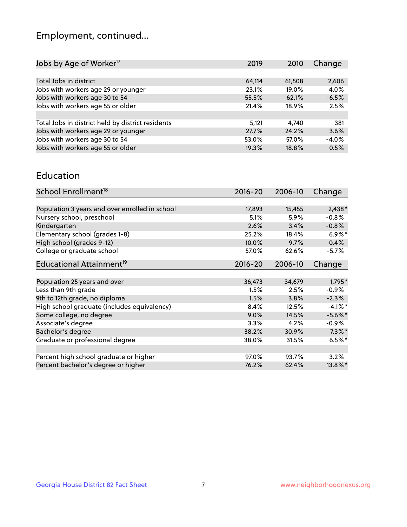## Employment, continued...

| Jobs by Age of Worker <sup>17</sup>               | 2019   | 2010     | Change  |
|---------------------------------------------------|--------|----------|---------|
|                                                   |        |          |         |
| Total Jobs in district                            | 64,114 | 61,508   | 2,606   |
| Jobs with workers age 29 or younger               | 23.1%  | $19.0\%$ | 4.0%    |
| Jobs with workers age 30 to 54                    | 55.5%  | 62.1%    | $-6.5%$ |
| Jobs with workers age 55 or older                 | 21.4%  | 18.9%    | 2.5%    |
|                                                   |        |          |         |
| Total Jobs in district held by district residents | 5,121  | 4.740    | 381     |
| Jobs with workers age 29 or younger               | 27.7%  | 24.2%    | 3.6%    |
| Jobs with workers age 30 to 54                    | 53.0%  | 57.0%    | $-4.0%$ |
| Jobs with workers age 55 or older                 | 19.3%  | 18.8%    | 0.5%    |
|                                                   |        |          |         |

#### Education

| School Enrollment <sup>18</sup>                | $2016 - 20$ | 2006-10 | Change     |
|------------------------------------------------|-------------|---------|------------|
|                                                |             |         |            |
| Population 3 years and over enrolled in school | 17,893      | 15,455  | $2,438*$   |
| Nursery school, preschool                      | 5.1%        | 5.9%    | $-0.8%$    |
| Kindergarten                                   | 2.6%        | 3.4%    | $-0.8%$    |
| Elementary school (grades 1-8)                 | 25.2%       | 18.4%   | $6.9\%$ *  |
| High school (grades 9-12)                      | 10.0%       | 9.7%    | 0.4%       |
| College or graduate school                     | 57.0%       | 62.6%   | $-5.7\%$   |
| Educational Attainment <sup>19</sup>           | $2016 - 20$ | 2006-10 | Change     |
|                                                |             |         |            |
| Population 25 years and over                   | 36,473      | 34,679  | 1,795*     |
| Less than 9th grade                            | 1.5%        | 2.5%    | $-0.9%$    |
| 9th to 12th grade, no diploma                  | 1.5%        | 3.8%    | $-2.3%$    |
| High school graduate (includes equivalency)    | 8.4%        | 12.5%   | $-4.1%$ *  |
| Some college, no degree                        | 9.0%        | 14.5%   | $-5.6\%$ * |
| Associate's degree                             | 3.3%        | 4.2%    | $-0.9\%$   |
| Bachelor's degree                              | 38.2%       | 30.9%   | $7.3\%$ *  |
| Graduate or professional degree                | 38.0%       | 31.5%   | $6.5%$ *   |
|                                                |             |         |            |
| Percent high school graduate or higher         | 97.0%       | 93.7%   | 3.2%       |
| Percent bachelor's degree or higher            | 76.2%       | 62.4%   | 13.8%*     |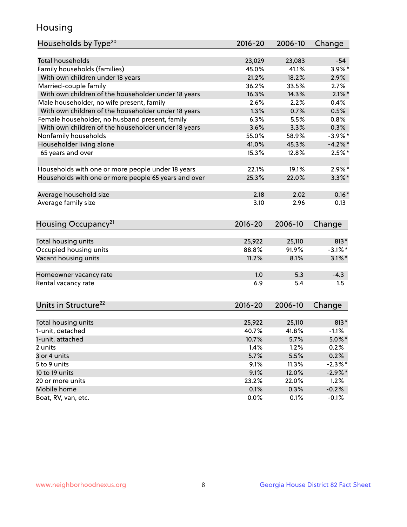## Housing

| Households by Type <sup>20</sup>                     | 2016-20     | 2006-10 | Change     |
|------------------------------------------------------|-------------|---------|------------|
|                                                      |             |         |            |
| <b>Total households</b>                              | 23,029      | 23,083  | $-54$      |
| Family households (families)                         | 45.0%       | 41.1%   | $3.9\%$ *  |
| With own children under 18 years                     | 21.2%       | 18.2%   | 2.9%       |
| Married-couple family                                | 36.2%       | 33.5%   | 2.7%       |
| With own children of the householder under 18 years  | 16.3%       | 14.3%   | $2.1\%$ *  |
| Male householder, no wife present, family            | 2.6%        | 2.2%    | 0.4%       |
| With own children of the householder under 18 years  | 1.3%        | 0.7%    | 0.5%       |
| Female householder, no husband present, family       | 6.3%        | 5.5%    | 0.8%       |
| With own children of the householder under 18 years  | 3.6%        | 3.3%    | 0.3%       |
| Nonfamily households                                 | 55.0%       | 58.9%   | $-3.9\%$ * |
| Householder living alone                             | 41.0%       | 45.3%   | $-4.2\%$ * |
| 65 years and over                                    | 15.3%       | 12.8%   | $2.5%$ *   |
|                                                      |             |         |            |
| Households with one or more people under 18 years    | 22.1%       | 19.1%   | $2.9\%$ *  |
| Households with one or more people 65 years and over | 25.3%       | 22.0%   | $3.3\%$ *  |
|                                                      |             |         |            |
| Average household size                               | 2.18        | 2.02    | $0.16*$    |
| Average family size                                  | 3.10        | 2.96    | 0.13       |
|                                                      |             |         |            |
| Housing Occupancy <sup>21</sup>                      | $2016 - 20$ | 2006-10 | Change     |
|                                                      |             |         |            |
| Total housing units                                  | 25,922      | 25,110  | $813*$     |
| Occupied housing units                               | 88.8%       | 91.9%   | $-3.1\%$ * |
| Vacant housing units                                 | 11.2%       | 8.1%    | $3.1\%$ *  |
|                                                      |             |         |            |
| Homeowner vacancy rate                               | 1.0         | 5.3     | $-4.3$     |
| Rental vacancy rate                                  | 6.9         | 5.4     | 1.5        |
|                                                      |             |         |            |
| Units in Structure <sup>22</sup>                     | $2016 - 20$ | 2006-10 | Change     |
|                                                      |             |         |            |
| Total housing units                                  | 25,922      | 25,110  | 813*       |
| 1-unit, detached                                     | 40.7%       | 41.8%   | $-1.1%$    |
| 1-unit, attached                                     | 10.7%       | 5.7%    | $5.0\%$ *  |
| 2 units                                              | 1.4%        | 1.2%    | 0.2%       |
| 3 or 4 units                                         | 5.7%        | 5.5%    | 0.2%       |
| 5 to 9 units                                         | 9.1%        | 11.3%   | $-2.3\%$ * |
| 10 to 19 units                                       | 9.1%        | 12.0%   | $-2.9\%$ * |
| 20 or more units                                     | 23.2%       | 22.0%   | 1.2%       |
| Mobile home                                          | 0.1%        | 0.3%    | $-0.2%$    |
| Boat, RV, van, etc.                                  | 0.0%        | 0.1%    | $-0.1%$    |
|                                                      |             |         |            |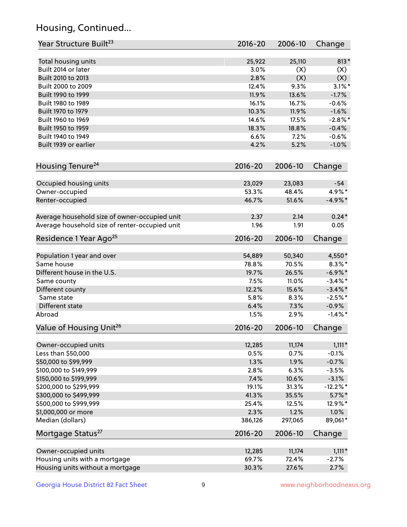## Housing, Continued...

| Year Structure Built <sup>23</sup>             | 2016-20     | 2006-10 | Change      |
|------------------------------------------------|-------------|---------|-------------|
| Total housing units                            | 25,922      | 25,110  | $813*$      |
| Built 2014 or later                            | 3.0%        | (X)     | (X)         |
| Built 2010 to 2013                             | 2.8%        | (X)     | (X)         |
| Built 2000 to 2009                             | 12.4%       | 9.3%    | $3.1\%$ *   |
| Built 1990 to 1999                             | 11.9%       | 13.6%   | $-1.7%$     |
| Built 1980 to 1989                             | 16.1%       | 16.7%   | $-0.6%$     |
| Built 1970 to 1979                             | 10.3%       | 11.9%   | $-1.6%$     |
| Built 1960 to 1969                             | 14.6%       | 17.5%   | $-2.8\%$ *  |
| Built 1950 to 1959                             | 18.3%       | 18.8%   | $-0.4%$     |
| Built 1940 to 1949                             | 6.6%        | 7.2%    | $-0.6%$     |
| Built 1939 or earlier                          | 4.2%        | 5.2%    | $-1.0%$     |
| Housing Tenure <sup>24</sup>                   | $2016 - 20$ | 2006-10 | Change      |
| Occupied housing units                         | 23,029      | 23,083  | $-54$       |
| Owner-occupied                                 | 53.3%       | 48.4%   | 4.9%*       |
| Renter-occupied                                | 46.7%       | 51.6%   | $-4.9\%*$   |
| Average household size of owner-occupied unit  | 2.37        | 2.14    | $0.24*$     |
| Average household size of renter-occupied unit | 1.96        | 1.91    | 0.05        |
| Residence 1 Year Ago <sup>25</sup>             | $2016 - 20$ | 2006-10 | Change      |
| Population 1 year and over                     | 54,889      | 50,340  | 4,550*      |
| Same house                                     | 78.8%       | 70.5%   | $8.3\%$ *   |
| Different house in the U.S.                    | 19.7%       | 26.5%   | $-6.9\%$ *  |
| Same county                                    | 7.5%        | 11.0%   | $-3.4\%$ *  |
| Different county                               | 12.2%       | 15.6%   | $-3.4\%$ *  |
| Same state                                     | 5.8%        | 8.3%    | $-2.5%$ *   |
| Different state                                | 6.4%        | 7.3%    | $-0.9\%$    |
| Abroad                                         | 1.5%        | 2.9%    | $-1.4\%$ *  |
| Value of Housing Unit <sup>26</sup>            | $2016 - 20$ | 2006-10 | Change      |
| Owner-occupied units                           | 12,285      | 11,174  | $1,111*$    |
| Less than \$50,000                             | 0.5%        | 0.7%    | $-0.1%$     |
| \$50,000 to \$99,999                           | 1.3%        | 1.9%    | $-0.7%$     |
| \$100,000 to \$149,999                         | 2.8%        | 6.3%    | $-3.5%$     |
| \$150,000 to \$199,999                         | 7.4%        | 10.6%   | $-3.1%$     |
| \$200,000 to \$299,999                         | 19.1%       | 31.3%   | $-12.2\%$ * |
| \$300,000 to \$499,999                         | 41.3%       | 35.5%   | $5.7\%$ *   |
| \$500,000 to \$999,999                         | 25.4%       | 12.5%   | 12.9%*      |
| \$1,000,000 or more                            | 2.3%        | 1.2%    | 1.0%        |
| Median (dollars)                               | 386,126     | 297,065 | 89,061*     |
| Mortgage Status <sup>27</sup>                  | $2016 - 20$ | 2006-10 | Change      |
| Owner-occupied units                           | 12,285      | 11,174  | $1,111*$    |
| Housing units with a mortgage                  | 69.7%       | 72.4%   | $-2.7%$     |
| Housing units without a mortgage               | 30.3%       | 27.6%   | 2.7%        |
|                                                |             |         |             |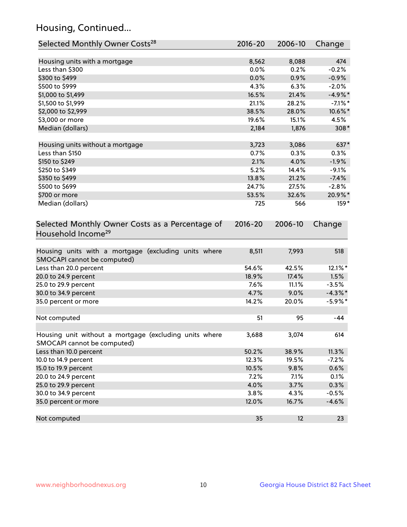## Housing, Continued...

| Selected Monthly Owner Costs <sup>28</sup>                                            | 2016-20     | 2006-10 | Change     |
|---------------------------------------------------------------------------------------|-------------|---------|------------|
| Housing units with a mortgage                                                         | 8,562       | 8,088   | 474        |
| Less than \$300                                                                       | 0.0%        | 0.2%    | $-0.2%$    |
| \$300 to \$499                                                                        | 0.0%        | 0.9%    | $-0.9%$    |
| \$500 to \$999                                                                        | 4.3%        | 6.3%    | $-2.0%$    |
| \$1,000 to \$1,499                                                                    | 16.5%       | 21.4%   | $-4.9%$ *  |
| \$1,500 to \$1,999                                                                    | 21.1%       | 28.2%   | $-7.1\%$ * |
| \$2,000 to \$2,999                                                                    | 38.5%       | 28.0%   | 10.6%*     |
| \$3,000 or more                                                                       | 19.6%       | 15.1%   | 4.5%       |
| Median (dollars)                                                                      | 2,184       | 1,876   | $308*$     |
|                                                                                       |             |         |            |
| Housing units without a mortgage                                                      | 3,723       | 3,086   | 637*       |
| Less than \$150                                                                       | 0.7%        | 0.3%    | 0.3%       |
| \$150 to \$249                                                                        | 2.1%        | 4.0%    | $-1.9%$    |
| \$250 to \$349                                                                        | 5.2%        | 14.4%   | $-9.1%$    |
| \$350 to \$499                                                                        | 13.8%       | 21.2%   | $-7.4%$    |
| \$500 to \$699                                                                        | 24.7%       | 27.5%   | $-2.8%$    |
| \$700 or more                                                                         | 53.5%       | 32.6%   | 20.9%*     |
| Median (dollars)                                                                      | 725         | 566     | $159*$     |
| Selected Monthly Owner Costs as a Percentage of<br>Household Income <sup>29</sup>     | $2016 - 20$ | 2006-10 | Change     |
| Housing units with a mortgage (excluding units where<br>SMOCAPI cannot be computed)   | 8,511       | 7,993   | 518        |
| Less than 20.0 percent                                                                | 54.6%       | 42.5%   | 12.1%*     |
| 20.0 to 24.9 percent                                                                  | 18.9%       | 17.4%   | 1.5%       |
| 25.0 to 29.9 percent                                                                  | 7.6%        | 11.1%   | $-3.5%$    |
| 30.0 to 34.9 percent                                                                  | 4.7%        | 9.0%    | $-4.3\%$ * |
| 35.0 percent or more                                                                  | 14.2%       | 20.0%   | $-5.9\%$ * |
| Not computed                                                                          | 51          | 95      | -44        |
| Housing unit without a mortgage (excluding units where<br>SMOCAPI cannot be computed) | 3,688       | 3,074   | 614        |
| Less than 10.0 percent                                                                | 50.2%       | 38.9%   | 11.3%      |
| 10.0 to 14.9 percent                                                                  | 12.3%       | 19.5%   | $-7.2%$    |
| 15.0 to 19.9 percent                                                                  | 10.5%       | 9.8%    | 0.6%       |
| 20.0 to 24.9 percent                                                                  | 7.2%        | 7.1%    | 0.1%       |
| 25.0 to 29.9 percent                                                                  | 4.0%        | 3.7%    | 0.3%       |
| 30.0 to 34.9 percent                                                                  | 3.8%        | 4.3%    | $-0.5%$    |
| 35.0 percent or more                                                                  | 12.0%       | 16.7%   | $-4.6%$    |
| Not computed                                                                          | 35          | 12      | 23         |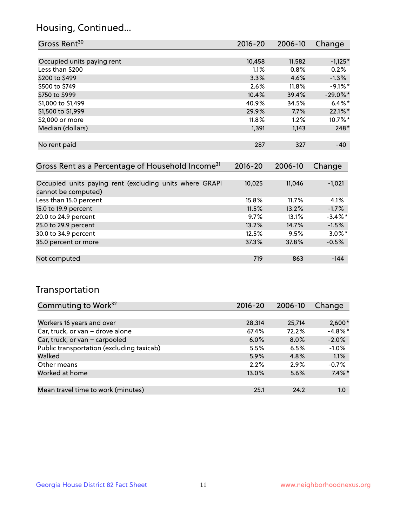## Housing, Continued...

| Gross Rent <sup>30</sup>   | 2016-20 | 2006-10 | Change      |
|----------------------------|---------|---------|-------------|
|                            |         |         |             |
| Occupied units paying rent | 10,458  | 11,582  | $-1,125*$   |
| Less than \$200            | 1.1%    | 0.8%    | 0.2%        |
| \$200 to \$499             | 3.3%    | 4.6%    | $-1.3%$     |
| \$500 to \$749             | 2.6%    | 11.8%   | $-9.1\%$ *  |
| \$750 to \$999             | 10.4%   | 39.4%   | $-29.0\%$ * |
| \$1,000 to \$1,499         | 40.9%   | 34.5%   | $6.4\%$ *   |
| \$1,500 to \$1,999         | 29.9%   | 7.7%    | 22.1%*      |
| \$2,000 or more            | 11.8%   | 1.2%    | 10.7%*      |
| Median (dollars)           | 1,391   | 1,143   | 248*        |
|                            |         |         |             |
| No rent paid               | 287     | 327     | $-40$       |

| Gross Rent as a Percentage of Household Income <sup>31</sup>                   | $2016 - 20$ | 2006-10 | Change     |
|--------------------------------------------------------------------------------|-------------|---------|------------|
|                                                                                |             |         |            |
| Occupied units paying rent (excluding units where GRAPI<br>cannot be computed) | 10,025      | 11,046  | $-1,021$   |
| Less than 15.0 percent                                                         | 15.8%       | 11.7%   | 4.1%       |
| 15.0 to 19.9 percent                                                           | 11.5%       | 13.2%   | $-1.7%$    |
| 20.0 to 24.9 percent                                                           | 9.7%        | 13.1%   | $-3.4\%$ * |
| 25.0 to 29.9 percent                                                           | 13.2%       | 14.7%   | $-1.5%$    |
| 30.0 to 34.9 percent                                                           | 12.5%       | 9.5%    | $3.0\%$ *  |
| 35.0 percent or more                                                           | 37.3%       | 37.8%   | $-0.5%$    |
| Not computed                                                                   | 719         | 863     | $-144$     |
|                                                                                |             |         |            |

## Transportation

| Commuting to Work <sup>32</sup>           | 2016-20 | 2006-10 | Change     |
|-------------------------------------------|---------|---------|------------|
|                                           |         |         |            |
| Workers 16 years and over                 | 28,314  | 25,714  | $2,600*$   |
| Car, truck, or van - drove alone          | 67.4%   | 72.2%   | $-4.8\%$ * |
| Car, truck, or van - carpooled            | $6.0\%$ | $8.0\%$ | $-2.0%$    |
| Public transportation (excluding taxicab) | 5.5%    | 6.5%    | $-1.0%$    |
| Walked                                    | 5.9%    | 4.8%    | 1.1%       |
| Other means                               | 2.2%    | 2.9%    | $-0.7%$    |
| Worked at home                            | 13.0%   | 5.6%    | $7.4\%$ *  |
|                                           |         |         |            |
| Mean travel time to work (minutes)        | 25.1    | 24.2    | 1.0        |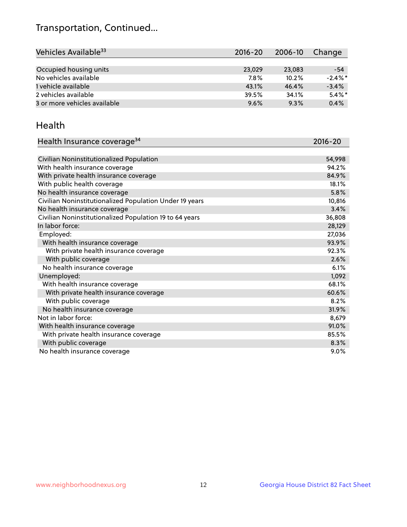## Transportation, Continued...

| Vehicles Available <sup>33</sup> | $2016 - 20$ | 2006-10 | Change     |
|----------------------------------|-------------|---------|------------|
|                                  |             |         |            |
| Occupied housing units           | 23,029      | 23,083  | $-54$      |
| No vehicles available            | 7.8%        | 10.2%   | $-2.4\%$ * |
| 1 vehicle available              | 43.1%       | 46.4%   | $-3.4%$    |
| 2 vehicles available             | 39.5%       | 34.1%   | $5.4\%$ *  |
| 3 or more vehicles available     | 9.6%        | 9.3%    | 0.4%       |

#### Health

| Health Insurance coverage <sup>34</sup>                 | 2016-20 |
|---------------------------------------------------------|---------|
|                                                         |         |
| Civilian Noninstitutionalized Population                | 54,998  |
| With health insurance coverage                          | 94.2%   |
| With private health insurance coverage                  | 84.9%   |
| With public health coverage                             | 18.1%   |
| No health insurance coverage                            | 5.8%    |
| Civilian Noninstitutionalized Population Under 19 years | 10,816  |
| No health insurance coverage                            | 3.4%    |
| Civilian Noninstitutionalized Population 19 to 64 years | 36,808  |
| In labor force:                                         | 28,129  |
| Employed:                                               | 27,036  |
| With health insurance coverage                          | 93.9%   |
| With private health insurance coverage                  | 92.3%   |
| With public coverage                                    | 2.6%    |
| No health insurance coverage                            | 6.1%    |
| Unemployed:                                             | 1,092   |
| With health insurance coverage                          | 68.1%   |
| With private health insurance coverage                  | 60.6%   |
| With public coverage                                    | 8.2%    |
| No health insurance coverage                            | 31.9%   |
| Not in labor force:                                     | 8,679   |
| With health insurance coverage                          | 91.0%   |
| With private health insurance coverage                  | 85.5%   |
| With public coverage                                    | 8.3%    |
| No health insurance coverage                            | $9.0\%$ |